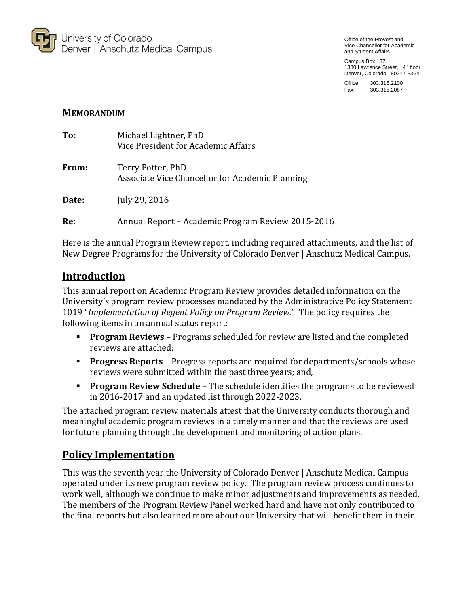

Office of the Provost and Vice Chancellor for Academic and Student Affairs

Campus Box 137 1380 Lawrence Street, 14<sup>th</sup> floor Denver, Colorado 80217-3364

Office: 303.315.2100 Fax: 303.315.2087

### **MEMORANDUM**

| To:   | Michael Lightner, PhD<br>Vice President for Academic Affairs         |
|-------|----------------------------------------------------------------------|
| From: | Terry Potter, PhD<br>Associate Vice Chancellor for Academic Planning |
| Date: | July 29, 2016                                                        |
| Re:   | Annual Report – Academic Program Review 2015-2016                    |

Here is the annual Program Review report, including required attachments, and the list of New Degree Programs for the University of Colorado Denver | Anschutz Medical Campus.

## **Introduction**

This annual report on Academic Program Review provides detailed information on the University's program review processes mandated by the Administrative Policy Statement 1019 "*Implementation of Regent Policy on Program Review.*" The policy requires the following items in an annual status report:

- **Program Reviews** Programs scheduled for review are listed and the completed reviews are attached;
- **Progress Reports** Progress reports are required for departments/schools whose reviews were submitted within the past three years; and,
- **Program Review Schedule** The schedule identifies the programs to be reviewed in 2016-2017 and an updated list through 2022-2023.

The attached program review materials attest that the University conducts thorough and meaningful academic program reviews in a timely manner and that the reviews are used for future planning through the development and monitoring of action plans.

## **Policy Implementation**

This was the seventh year the University of Colorado Denver | Anschutz Medical Campus operated under its new program review policy. The program review process continues to work well, although we continue to make minor adjustments and improvements as needed. The members of the Program Review Panel worked hard and have not only contributed to the final reports but also learned more about our University that will benefit them in their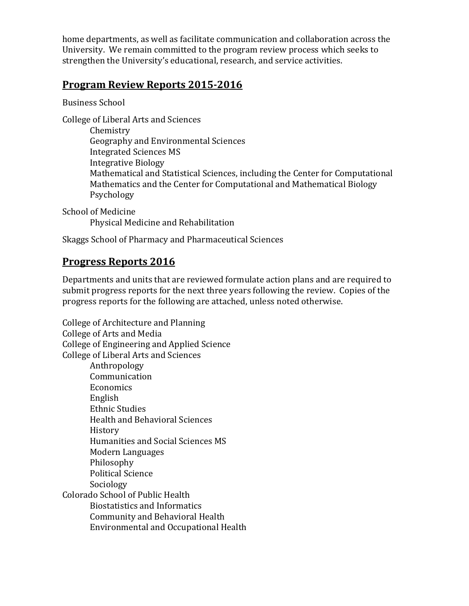home departments, as well as facilitate communication and collaboration across the University. We remain committed to the program review process which seeks to strengthen the University's educational, research, and service activities.

## **Program Review Reports 2015-2016**

Business School

College of Liberal Arts and Sciences

Chemistry Geography and Environmental Sciences Integrated Sciences MS Integrative Biology Mathematical and Statistical Sciences, including the Center for Computational Mathematics and the Center for Computational and Mathematical Biology Psychology

School of Medicine Physical Medicine and Rehabilitation

Skaggs School of Pharmacy and Pharmaceutical Sciences

# **Progress Reports 2016**

Departments and units that are reviewed formulate action plans and are required to submit progress reports for the next three years following the review. Copies of the progress reports for the following are attached, unless noted otherwise.

College of Architecture and Planning College of Arts and Media College of Engineering and Applied Science College of Liberal Arts and Sciences Anthropology Communication Economics English Ethnic Studies Health and Behavioral Sciences History Humanities and Social Sciences MS Modern Languages Philosophy Political Science Sociology Colorado School of Public Health Biostatistics and Informatics Community and Behavioral Health Environmental and Occupational Health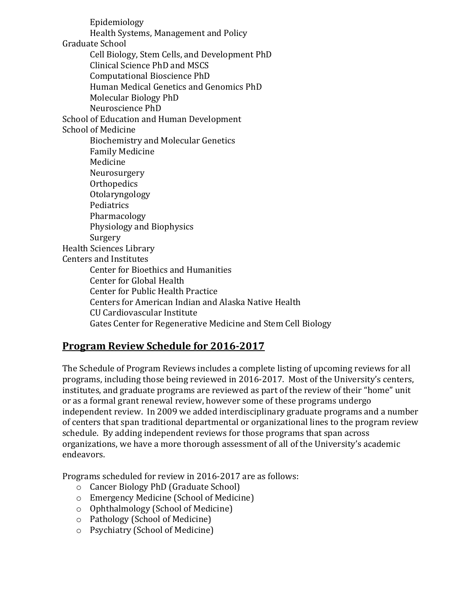Epidemiology Health Systems, Management and Policy Graduate School Cell Biology, Stem Cells, and Development PhD Clinical Science PhD and MSCS Computational Bioscience PhD Human Medical Genetics and Genomics PhD Molecular Biology PhD Neuroscience PhD School of Education and Human Development School of Medicine Biochemistry and Molecular Genetics Family Medicine Medicine Neurosurgery **Orthopedics** Otolaryngology Pediatrics Pharmacology Physiology and Biophysics Surgery Health Sciences Library Centers and Institutes Center for Bioethics and Humanities Center for Global Health Center for Public Health Practice Centers for American Indian and Alaska Native Health CU Cardiovascular Institute Gates Center for Regenerative Medicine and Stem Cell Biology

# **Program Review Schedule for 2016-2017**

The Schedule of Program Reviews includes a complete listing of upcoming reviews for all programs, including those being reviewed in 2016-2017. Most of the University's centers, institutes, and graduate programs are reviewed as part of the review of their "home" unit or as a formal grant renewal review, however some of these programs undergo independent review. In 2009 we added interdisciplinary graduate programs and a number of centers that span traditional departmental or organizational lines to the program review schedule. By adding independent reviews for those programs that span across organizations, we have a more thorough assessment of all of the University's academic endeavors.

Programs scheduled for review in 2016-2017 are as follows:

- o Cancer Biology PhD (Graduate School)
- o Emergency Medicine (School of Medicine)
- o Ophthalmology (School of Medicine)
- o Pathology (School of Medicine)
- o Psychiatry (School of Medicine)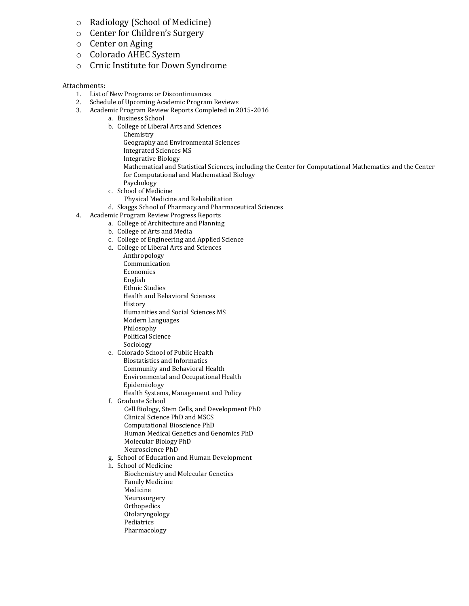- o Radiology (School of Medicine)
- o Center for Children's Surgery
- o Center on Aging
- o Colorado AHEC System
- o Crnic Institute for Down Syndrome

#### Attachments:

- 1. List of New Programs or Discontinuances
- 2. Schedule of Upcoming Academic Program Reviews
- 3. Academic Program Review Reports Completed in 2015-2016
	- a. Business School
		- b. College of Liberal Arts and Sciences
			- Chemistry Geography and Environmental Sciences
			- Integrated Sciences MS
			- Integrative Biology
			- Mathematical and Statistical Sciences, including the Center for Computational Mathematics and the Center for Computational and Mathematical Biology
			- Psychology
		- c. School of Medicine
		- Physical Medicine and Rehabilitation
		- d. Skaggs School of Pharmacy and Pharmaceutical Sciences
- 4. Academic Program Review Progress Reports
	- a. College of Architecture and Planning
		- b. College of Arts and Media
		- c. College of Engineering and Applied Science
		- d. College of Liberal Arts and Sciences
			- Anthropology
			- Communication Economics
			- English
			- Ethnic Studies
			- Health and Behavioral Sciences
			- History
			- Humanities and Social Sciences MS
			- Modern Languages
			- Philosophy
			- Political Science
			- Sociology
		- e. Colorado School of Public Health Biostatistics and Informatics Community and Behavioral Health Environmental and Occupational Health Epidemiology
		- Health Systems, Management and Policy f. Graduate School
		- Cell Biology, Stem Cells, and Development PhD Clinical Science PhD and MSCS Computational Bioscience PhD Human Medical Genetics and Genomics PhD Molecular Biology PhD Neuroscience PhD
		- g. School of Education and Human Development
		- h. School of Medicine
			- Biochemistry and Molecular Genetics Family Medicine
			- Medicine
			- Neurosurgery
			- **Orthopedics**
			- Otolaryngology
			- Pediatrics
			- Pharmacology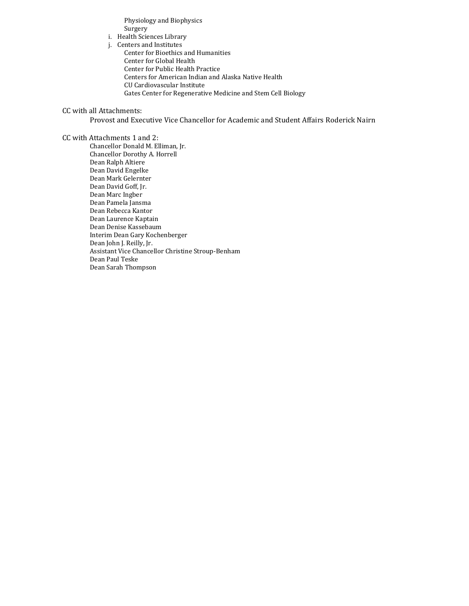Physiology and Biophysics Surgery

i. Health Sciences Library

j. Centers and Institutes

Center for Bioethics and Humanities Center for Global Health Center for Public Health Practice Centers for American Indian and Alaska Native Health CU Cardiovascular Institute Gates Center for Regenerative Medicine and Stem Cell Biology

CC with all Attachments:

Provost and Executive Vice Chancellor for Academic and Student Affairs Roderick Nairn

#### CC with Attachments 1 and 2:

Chancellor Donald M. Elliman, Jr. Chancellor Dorothy A. Horrell Dean Ralph Altiere Dean David Engelke Dean Mark Gelernter Dean David Goff, Jr. Dean Marc Ingber Dean Pamela Jansma Dean Rebecca Kantor Dean Laurence Kaptain Dean Denise Kassebaum Interim Dean Gary Kochenberger Dean John J. Reilly, Jr. Assistant Vice Chancellor Christine Stroup-Benham Dean Paul Teske Dean Sarah Thompson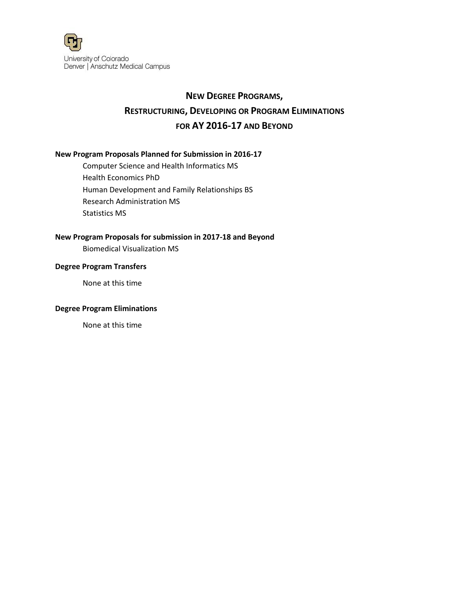

# **NEW DEGREE PROGRAMS, RESTRUCTURING, DEVELOPING OR PROGRAM ELIMINATIONS FOR AY 2016-17 AND BEYOND**

### **New Program Proposals Planned for Submission in 2016-17**

Computer Science and Health Informatics MS Health Economics PhD Human Development and Family Relationships BS Research Administration MS Statistics MS

### **New Program Proposals for submission in 2017-18 and Beyond**

Biomedical Visualization MS

#### **Degree Program Transfers**

None at this time

#### **Degree Program Eliminations**

None at this time